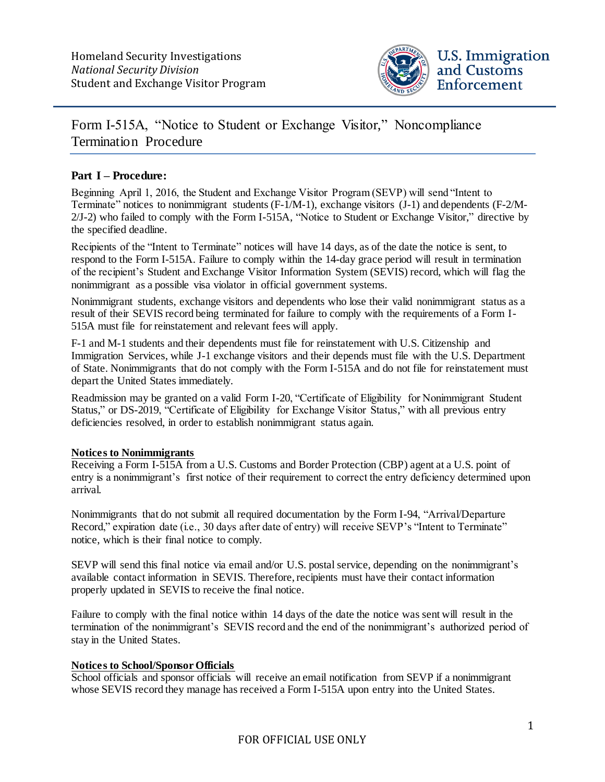

# Form I-515A, "Notice to Student or Exchange Visitor," Noncompliance Termination Procedure

## **Part I – Procedure:**

Beginning April 1, 2016, the Student and Exchange Visitor Program (SEVP) will send "Intent to Terminate" notices to nonimmigrant students (F-1/M-1), exchange visitors (J-1) and dependents (F-2/M-2/J-2) who failed to comply with the Form I-515A, "Notice to Student or Exchange Visitor," directive by the specified deadline.

Recipients of the "Intent to Terminate" notices will have 14 days, as of the date the notice is sent, to respond to the Form I-515A. Failure to comply within the 14-day grace period will result in termination of the recipient's Student and Exchange Visitor Information System (SEVIS) record, which will flag the nonimmigrant as a possible visa violator in official government systems.

Nonimmigrant students, exchange visitors and dependents who lose their valid nonimmigrant status as a result of their SEVIS record being terminated for failure to comply with the requirements of a Form I-515A must file for reinstatement and relevant fees will apply.

F-1 and M-1 students and their dependents must file for reinstatement with U.S. Citizenship and Immigration Services, while J-1 exchange visitors and their depends must file with the U.S. Department of State. Nonimmigrants that do not comply with the Form I-515A and do not file for reinstatement must depart the United States immediately.

Readmission may be granted on a valid Form I-20, "Certificate of Eligibility for Nonimmigrant Student Status," or DS-2019, "Certificate of Eligibility for Exchange Visitor Status," with all previous entry deficiencies resolved, in order to establish nonimmigrant status again.

#### **Notices to Nonimmigrants**

Receiving a Form I-515A from a U.S. Customs and Border Protection (CBP) agent at a U.S. point of entry is a nonimmigrant's first notice of their requirement to correct the entry deficiency determined upon arrival.

Nonimmigrants that do not submit all required documentation by the Form I-94, "Arrival/Departure Record," expiration date (i.e., 30 days after date of entry) will receive SEVP's "Intent to Terminate" notice, which is their final notice to comply.

SEVP will send this final notice via email and/or U.S. postal service, depending on the nonimmigrant's available contact information in SEVIS. Therefore, recipients must have their contact information properly updated in SEVIS to receive the final notice.

Failure to comply with the final notice within 14 days of the date the notice was sent will result in the termination of the nonimmigrant's SEVIS record and the end of the nonimmigrant's authorized period of stay in the United States.

### **Notices to School/Sponsor Officials**

School officials and sponsor officials will receive an email notification from SEVP if a nonimmigrant whose SEVIS record they manage has received a Form I-515A upon entry into the United States.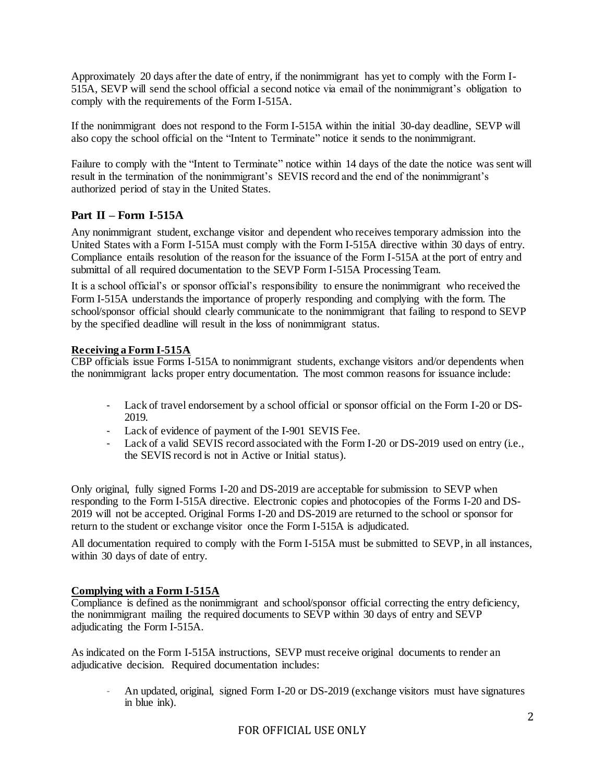Approximately 20 days after the date of entry, if the nonimmigrant has yet to comply with the Form I-515A, SEVP will send the school official a second notice via email of the nonimmigrant's obligation to comply with the requirements of the Form I-515A.

If the nonimmigrant does not respond to the Form I-515A within the initial 30-day deadline, SEVP will also copy the school official on the "Intent to Terminate" notice it sends to the nonimmigrant.

Failure to comply with the "Intent to Terminate" notice within 14 days of the date the notice was sent will result in the termination of the nonimmigrant's SEVIS record and the end of the nonimmigrant's authorized period of stay in the United States.

# **Part II – Form I-515A**

Any nonimmigrant student, exchange visitor and dependent who receives temporary admission into the United States with a Form I-515A must comply with the Form I-515A directive within 30 days of entry. Compliance entails resolution of the reason for the issuance of the Form I-515A at the port of entry and submittal of all required documentation to the SEVP Form I-515A Processing Team.

It is a school official's or sponsor official's responsibility to ensure the nonimmigrant who received the Form I-515A understands the importance of properly responding and complying with the form. The school/sponsor official should clearly communicate to the nonimmigrant that failing to respond to SEVP by the specified deadline will result in the loss of nonimmigrant status.

### **Receiving a Form I-515A**

CBP officials issue Forms I-515A to nonimmigrant students, exchange visitors and/or dependents when the nonimmigrant lacks proper entry documentation. The most common reasons for issuance include:

- Lack of travel endorsement by a school official or sponsor official on the Form I-20 or DS-2019.
- Lack of evidence of payment of the I-901 SEVIS Fee.
- Lack of a valid SEVIS record associated with the Form I-20 or DS-2019 used on entry (i.e., the SEVIS record is not in Active or Initial status).

Only original, fully signed Forms I-20 and DS-2019 are acceptable for submission to SEVP when responding to the Form I-515A directive. Electronic copies and photocopies of the Forms I-20 and DS-2019 will not be accepted. Original Forms I-20 and DS-2019 are returned to the school or sponsor for return to the student or exchange visitor once the Form I-515A is adjudicated.

All documentation required to comply with the Form I-515A must be submitted to SEVP, in all instances, within 30 days of date of entry.

#### **Complying with a Form I-515A**

Compliance is defined as the nonimmigrant and school/sponsor official correcting the entry deficiency, the nonimmigrant mailing the required documents to SEVP within 30 days of entry and SEVP adjudicating the Form I-515A.

As indicated on the Form I-515A instructions, SEVP must receive original documents to render an adjudicative decision. Required documentation includes:

- An updated, original, signed Form I-20 or DS-2019 (exchange visitors must have signatures in blue ink).